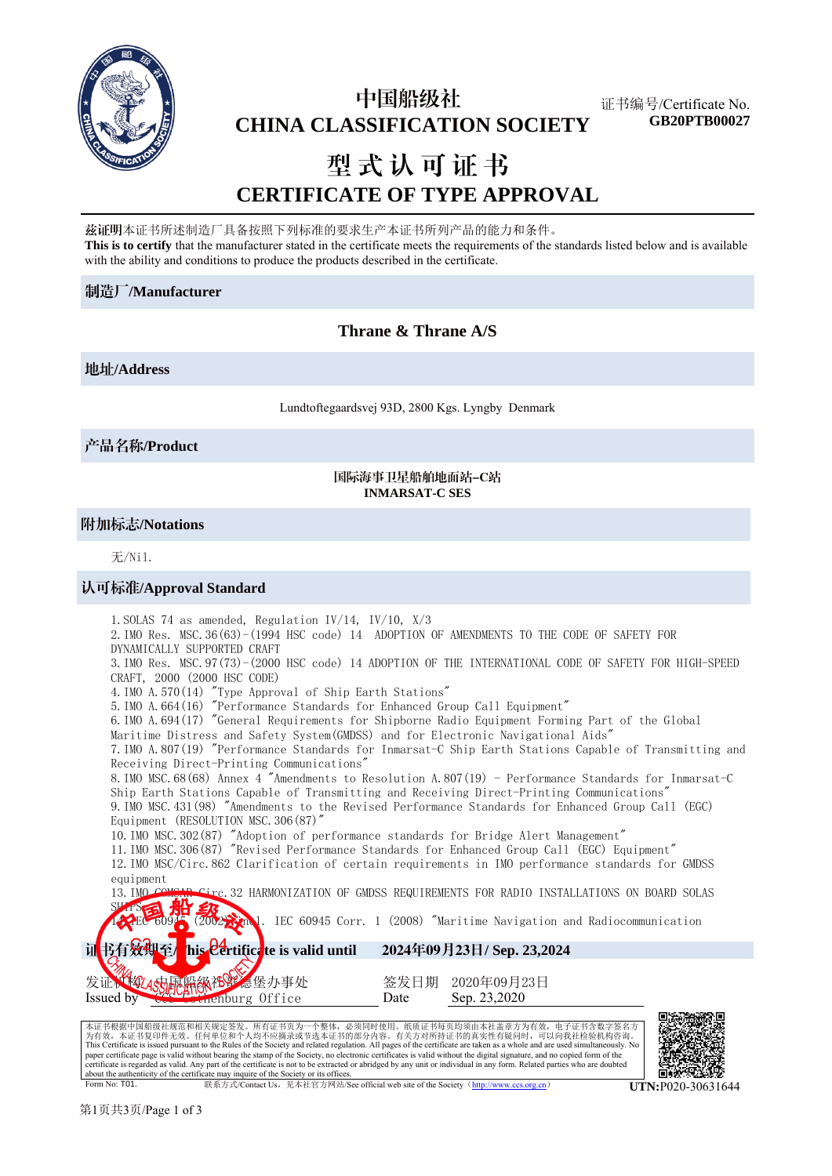

## 中国船级社  **CHINA CLASSIFICATION SOCIETY**

证书编号/Certificate No. **GB20PTB00027**

# 型式认可证书 **CERTIFICATE OF TYPE APPROVAL**

兹证明本证书所述制造厂具备按照下列标准的要求生产本证书所列产品的能力和条件。 **This is to certify** that the manufacturer stated in the certificate meets the requirements of the standards listed below and is available with the ability and conditions to produce the products described in the certificate.

## 制造厂**/Manufacturer**

## **Thrane & Thrane A/S**

地址**/Address**

Lundtoftegaardsvej 93D, 2800 Kgs. Lyngby Denmark

产品名称**/Product**

## 国际海事卫星船舶地面站-C站 **INMARSAT-C SES**

## 附加标志**/Notations**

无/Nil.

## 认可标准**/Approval Standard**



Form No: T01. 联系方式/Contact Us,见本社官方网站/See official web site of the Society(http://www.ccs.org.cn) **UTN:**P020-30631644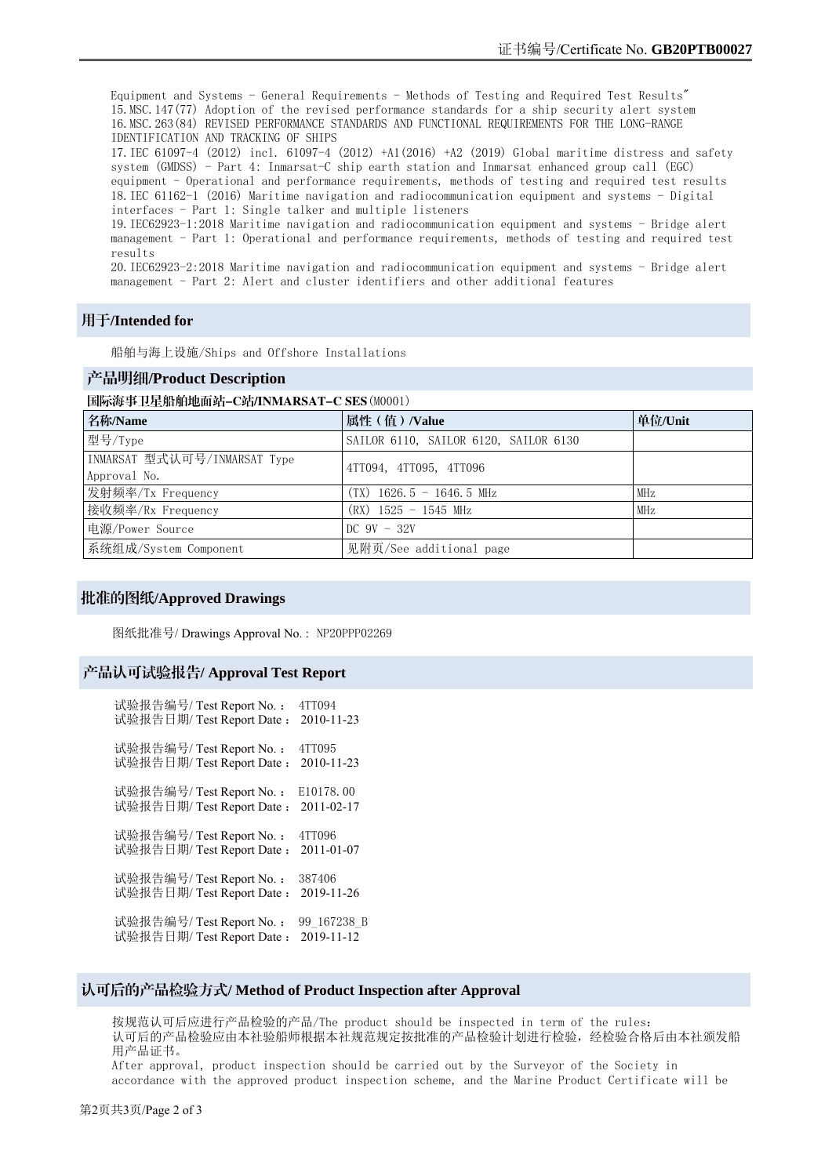Equipment and Systems - General Requirements - Methods of Testing and Required Test Results" 15.MSC.147(77) Adoption of the revised performance standards for a ship security alert system 16.MSC.263(84) REVISED PERFORMANCE STANDARDS AND FUNCTIONAL REQUIREMENTS FOR THE LONG-RANGE IDENTIFICATION AND TRACKING OF SHIPS 17.IEC 61097-4 (2012) incl. 61097-4 (2012) +A1(2016) +A2 (2019) Global maritime distress and safety system (GMDSS) - Part 4: Inmarsat-C ship earth station and Inmarsat enhanced group call (EGC) equipment - Operational and performance requirements, methods of testing and required test results 18.IEC 61162-1 (2016) Maritime navigation and radiocommunication equipment and systems - Digital interfaces - Part 1: Single talker and multiple listeners 19.IEC62923-1:2018 Maritime navigation and radiocommunication equipment and systems - Bridge alert management - Part 1: Operational and performance requirements, methods of testing and required test results 20.IEC62923-2:2018 Maritime navigation and radiocommunication equipment and systems - Bridge alert management - Part 2: Alert and cluster identifiers and other additional features

## 用于**/Intended for**

船舶与海上设施/Ships and Offshore Installations

## 产品明细**/Product Description**

#### 国际海事卫星船舶地面站-C站/INMARSAT-C SES(M0001)

| 名称/Name                      | 属性 (值) /Value                         | 单位/Unit |
|------------------------------|---------------------------------------|---------|
| 型号/Type                      | SAILOR 6110, SAILOR 6120, SAILOR 6130 |         |
| INMARSAT 型式认可号/INMARSAT Type | 4TT094, 4TT095, 4TT096                |         |
| Approval No.                 |                                       |         |
| 发射频率/Tx Frequency            | $(TX)$ 1626.5 - 1646.5 MHz            | MHz     |
| 接收频率/Rx Frequency            | $(RX)$ 1525 - 1545 MHz                | MHz     |
| 电源/Power Source              | DC $9V - 32V$                         |         |
| 系统组成/System Component        | 见附页/See additional page               |         |

## 批准的图纸**/Approved Drawings**

图纸批准号/ Drawings Approval No. : NP20PPP02269

## 产品认可试验报告**/ Approval Test Report**

| 试验报告编号/ Test Report No.:  | 4TT094      |
|---------------------------|-------------|
| 试验报告日期/ Test Report Date: | 2010-11-23  |
| 试验报告编号/ Test Report No.:  | 4TT095      |
| 试验报告日期/ Test Report Date: | 2010-11-23  |
| 试验报告编号/ Test Report No. : | E10178.00   |
| 试验报告日期/ Test Report Date: | 2011-02-17  |
| 试验报告编号/ Test Report No. : | 4TT096      |
| 试验报告日期/ Test Report Date: | 2011-01-07  |
| 试验报告编号/ Test Report No.:  | 387406      |
| 试验报告日期/ Test Report Date: | 2019-11-26  |
| 试验报告编号/Test Report No.:   | 99 167238 B |
| 试验报告日期/ Test Report Date: | 2019-11-12  |

## 认可后的产品检验方式**/ Method of Product Inspection after Approval**

按规范认可后应进行产品检验的产品/The product should be inspected in term of the rules: 认可后的产品检验应由本社验船师根据本社规范规定按批准的产品检验计划进行检验,经检验合格后由本社颁发船 用产品证书。

After approval, product inspection should be carried out by the Surveyor of the Society in accordance with the approved product inspection scheme, and the Marine Product Certificate will be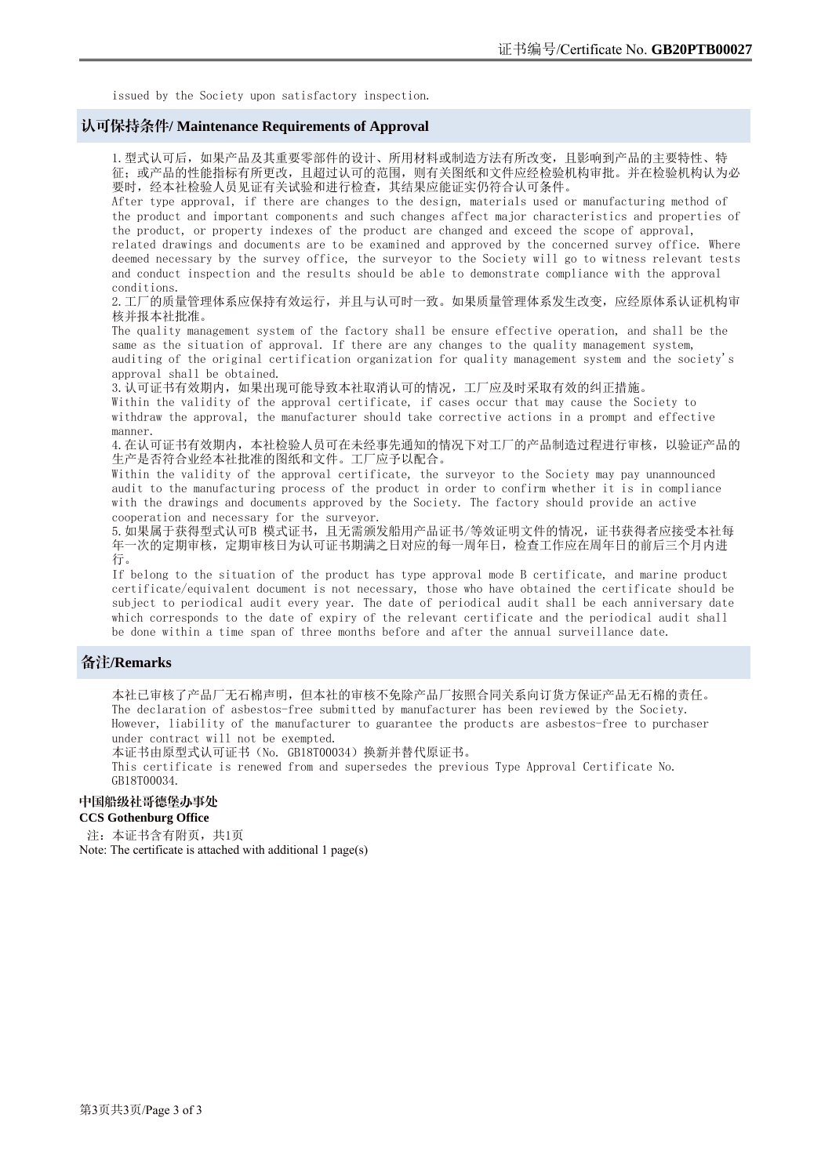issued by the Society upon satisfactory inspection.

## 认可保持条件**/ Maintenance Requirements of Approval**

1.型式认可后,如果产品及其重要零部件的设计、所用材料或制造方法有所改变,且影响到产品的主要特性、特 征;或产品的性能指标有所更改,且超过认可的范围,则有关图纸和文件应经检验机构审批。并在检验机构认为必 要时,经本社检验人员见证有关试验和进行检查,其结果应能证实仍符合认可条件。

After type approval, if there are changes to the design, materials used or manufacturing method of the product and important components and such changes affect major characteristics and properties of the product, or property indexes of the product are changed and exceed the scope of approval, related drawings and documents are to be examined and approved by the concerned survey office. Where deemed necessary by the survey office, the surveyor to the Society will go to witness relevant tests and conduct inspection and the results should be able to demonstrate compliance with the approval conditions.

2.工厂的质量管理体系应保持有效运行,并且与认可时一致。如果质量管理体系发生改变,应经原体系认证机构审 核并报本社批准。

The quality management system of the factory shall be ensure effective operation, and shall be the same as the situation of approval. If there are any changes to the quality management system, auditing of the original certification organization for quality management system and the society's approval shall be obtained.

3.认可证书有效期内,如果出现可能导致本社取消认可的情况,工厂应及时采取有效的纠正措施。

Within the validity of the approval certificate, if cases occur that may cause the Society to withdraw the approval, the manufacturer should take corrective actions in a prompt and effective manner.

4. 在认可证书有效期内, 本社检验人员可在未经事先通知的情况下对工厂的产品制造过程进行审核, 以验证产品的 生产是否符合业经本社批准的图纸和文件。工厂应予以配合。

Within the validity of the approval certificate, the surveyor to the Society may pay unannounced audit to the manufacturing process of the product in order to confirm whether it is in compliance with the drawings and documents approved by the Society. The factory should provide an active cooperation and necessary for the surveyor.

5. 如果属于获得型式认可B 模式证书, 且无需颁发船用产品证书/等效证明文件的情况, 证书获得者应接受本社每 年一次的定期审核,定期审核日为认可证书期满之日对应的每一周年日,检查工作应在周年日的前后三个月内进 行。

If belong to the situation of the product has type approval mode B certificate, and marine product certificate/equivalent document is not necessary, those who have obtained the certificate should be subject to periodical audit every year. The date of periodical audit shall be each anniversary date which corresponds to the date of expiry of the relevant certificate and the periodical audit shall be done within a time span of three months before and after the annual surveillance date.

## 备注**/Remarks**

本社已审核了产品厂无石棉声明,但本社的审核不免除产品厂按照合同关系向订货方保证产品无石棉的责任。 The declaration of asbestos-free submitted by manufacturer has been reviewed by the Society. However, liability of the manufacturer to guarantee the products are asbestos-free to purchaser under contract will not be exempted.

本证书由原型式认可证书(No. GB18T00034)换新并替代原证书。

This certificate is renewed from and supersedes the previous Type Approval Certificate No. GB18T00034.

## 中国船级社哥德堡办事处

#### **CCS Gothenburg Office**

注: 本证书含有附页, 共1页

Note: The certificate is attached with additional 1 page(s)